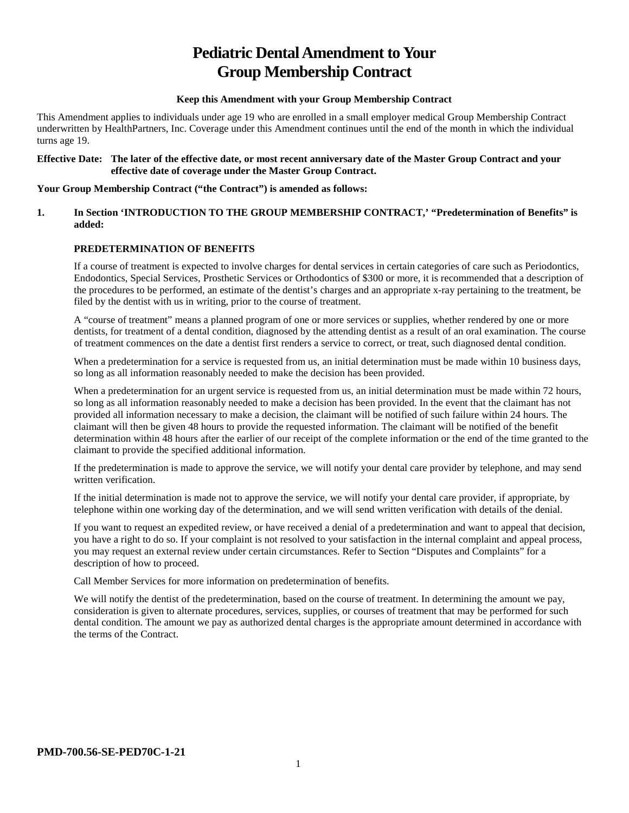# **Pediatric Dental Amendment to Your Group Membership Contract**

## **Keep this Amendment with your Group Membership Contract**

This Amendment applies to individuals under age 19 who are enrolled in a small employer medical Group Membership Contract underwritten by HealthPartners, Inc. Coverage under this Amendment continues until the end of the month in which the individual turns age 19.

#### **Effective Date: The later of the effective date, or most recent anniversary date of the Master Group Contract and your effective date of coverage under the Master Group Contract.**

#### **Your Group Membership Contract ("the Contract") is amended as follows:**

#### **1. In Section 'INTRODUCTION TO THE GROUP MEMBERSHIP CONTRACT,' "Predetermination of Benefits" is added:**

## **PREDETERMINATION OF BENEFITS**

If a course of treatment is expected to involve charges for dental services in certain categories of care such as Periodontics, Endodontics, Special Services, Prosthetic Services or Orthodontics of \$300 or more, it is recommended that a description of the procedures to be performed, an estimate of the dentist's charges and an appropriate x-ray pertaining to the treatment, be filed by the dentist with us in writing, prior to the course of treatment.

A "course of treatment" means a planned program of one or more services or supplies, whether rendered by one or more dentists, for treatment of a dental condition, diagnosed by the attending dentist as a result of an oral examination. The course of treatment commences on the date a dentist first renders a service to correct, or treat, such diagnosed dental condition.

When a predetermination for a service is requested from us, an initial determination must be made within 10 business days, so long as all information reasonably needed to make the decision has been provided.

When a predetermination for an urgent service is requested from us, an initial determination must be made within 72 hours, so long as all information reasonably needed to make a decision has been provided. In the event that the claimant has not provided all information necessary to make a decision, the claimant will be notified of such failure within 24 hours. The claimant will then be given 48 hours to provide the requested information. The claimant will be notified of the benefit determination within 48 hours after the earlier of our receipt of the complete information or the end of the time granted to the claimant to provide the specified additional information.

If the predetermination is made to approve the service, we will notify your dental care provider by telephone, and may send written verification.

If the initial determination is made not to approve the service, we will notify your dental care provider, if appropriate, by telephone within one working day of the determination, and we will send written verification with details of the denial.

If you want to request an expedited review, or have received a denial of a predetermination and want to appeal that decision, you have a right to do so. If your complaint is not resolved to your satisfaction in the internal complaint and appeal process, you may request an external review under certain circumstances. Refer to Section "Disputes and Complaints" for a description of how to proceed.

Call Member Services for more information on predetermination of benefits.

We will notify the dentist of the predetermination, based on the course of treatment. In determining the amount we pay, consideration is given to alternate procedures, services, supplies, or courses of treatment that may be performed for such dental condition. The amount we pay as authorized dental charges is the appropriate amount determined in accordance with the terms of the Contract.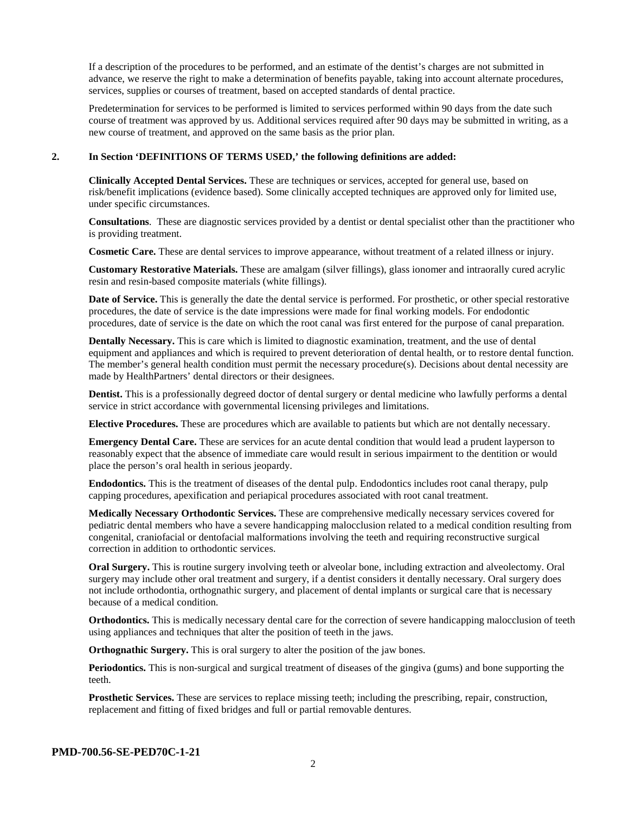If a description of the procedures to be performed, and an estimate of the dentist's charges are not submitted in advance, we reserve the right to make a determination of benefits payable, taking into account alternate procedures, services, supplies or courses of treatment, based on accepted standards of dental practice.

Predetermination for services to be performed is limited to services performed within 90 days from the date such course of treatment was approved by us. Additional services required after 90 days may be submitted in writing, as a new course of treatment, and approved on the same basis as the prior plan.

#### **2. In Section 'DEFINITIONS OF TERMS USED,' the following definitions are added:**

**Clinically Accepted Dental Services.** These are techniques or services, accepted for general use, based on risk/benefit implications (evidence based). Some clinically accepted techniques are approved only for limited use, under specific circumstances.

**Consultations**. These are diagnostic services provided by a dentist or dental specialist other than the practitioner who is providing treatment.

**Cosmetic Care.** These are dental services to improve appearance, without treatment of a related illness or injury.

**Customary Restorative Materials.** These are amalgam (silver fillings), glass ionomer and intraorally cured acrylic resin and resin-based composite materials (white fillings).

**Date of Service.** This is generally the date the dental service is performed. For prosthetic, or other special restorative procedures, the date of service is the date impressions were made for final working models. For endodontic procedures, date of service is the date on which the root canal was first entered for the purpose of canal preparation.

**Dentally Necessary.** This is care which is limited to diagnostic examination, treatment, and the use of dental equipment and appliances and which is required to prevent deterioration of dental health, or to restore dental function. The member's general health condition must permit the necessary procedure(s). Decisions about dental necessity are made by HealthPartners' dental directors or their designees.

**Dentist.** This is a professionally degreed doctor of dental surgery or dental medicine who lawfully performs a dental service in strict accordance with governmental licensing privileges and limitations.

**Elective Procedures.** These are procedures which are available to patients but which are not dentally necessary.

**Emergency Dental Care.** These are services for an acute dental condition that would lead a prudent layperson to reasonably expect that the absence of immediate care would result in serious impairment to the dentition or would place the person's oral health in serious jeopardy.

**Endodontics.** This is the treatment of diseases of the dental pulp. Endodontics includes root canal therapy, pulp capping procedures, apexification and periapical procedures associated with root canal treatment.

**Medically Necessary Orthodontic Services.** These are comprehensive medically necessary services covered for pediatric dental members who have a severe handicapping malocclusion related to a medical condition resulting from congenital, craniofacial or dentofacial malformations involving the teeth and requiring reconstructive surgical correction in addition to orthodontic services.

**Oral Surgery.** This is routine surgery involving teeth or alveolar bone, including extraction and alveolectomy. Oral surgery may include other oral treatment and surgery, if a dentist considers it dentally necessary. Oral surgery does not include orthodontia, orthognathic surgery, and placement of dental implants or surgical care that is necessary because of a medical condition.

**Orthodontics.** This is medically necessary dental care for the correction of severe handicapping malocclusion of teeth using appliances and techniques that alter the position of teeth in the jaws.

**Orthognathic Surgery.** This is oral surgery to alter the position of the jaw bones.

**Periodontics.** This is non-surgical and surgical treatment of diseases of the gingiva (gums) and bone supporting the teeth.

**Prosthetic Services.** These are services to replace missing teeth; including the prescribing, repair, construction, replacement and fitting of fixed bridges and full or partial removable dentures.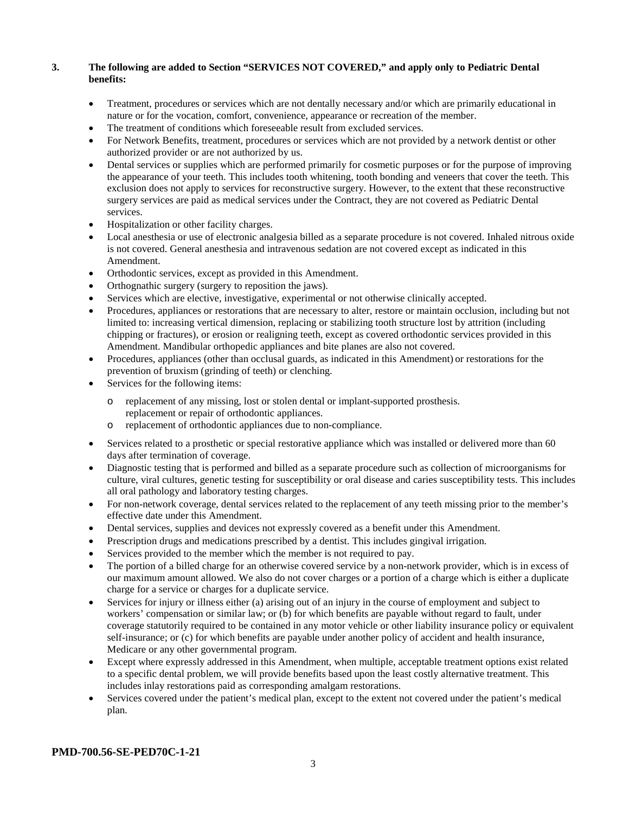## **3. The following are added to Section "SERVICES NOT COVERED," and apply only to Pediatric Dental benefits:**

- Treatment, procedures or services which are not dentally necessary and/or which are primarily educational in nature or for the vocation, comfort, convenience, appearance or recreation of the member.
- The treatment of conditions which foreseeable result from excluded services.
- For Network Benefits, treatment, procedures or services which are not provided by a network dentist or other authorized provider or are not authorized by us.
- Dental services or supplies which are performed primarily for cosmetic purposes or for the purpose of improving the appearance of your teeth. This includes tooth whitening, tooth bonding and veneers that cover the teeth. This exclusion does not apply to services for reconstructive surgery. However, to the extent that these reconstructive surgery services are paid as medical services under the Contract, they are not covered as Pediatric Dental services.
- Hospitalization or other facility charges.
- Local anesthesia or use of electronic analgesia billed as a separate procedure is not covered. Inhaled nitrous oxide is not covered. General anesthesia and intravenous sedation are not covered except as indicated in this Amendment.
- Orthodontic services, except as provided in this Amendment.
- Orthognathic surgery (surgery to reposition the jaws).
- Services which are elective, investigative, experimental or not otherwise clinically accepted.
- Procedures, appliances or restorations that are necessary to alter, restore or maintain occlusion, including but not limited to: increasing vertical dimension, replacing or stabilizing tooth structure lost by attrition (including chipping or fractures), or erosion or realigning teeth, except as covered orthodontic services provided in this Amendment. Mandibular orthopedic appliances and bite planes are also not covered.
- Procedures, appliances (other than occlusal guards, as indicated in this Amendment) or restorations for the prevention of bruxism (grinding of teeth) or clenching.
- Services for the following items:
	- o replacement of any missing, lost or stolen dental or implant-supported prosthesis. replacement or repair of orthodontic appliances.
	- o replacement of orthodontic appliances due to non-compliance.
- Services related to a prosthetic or special restorative appliance which was installed or delivered more than 60 days after termination of coverage.
- Diagnostic testing that is performed and billed as a separate procedure such as collection of microorganisms for culture, viral cultures, genetic testing for susceptibility or oral disease and caries susceptibility tests. This includes all oral pathology and laboratory testing charges.
- For non-network coverage, dental services related to the replacement of any teeth missing prior to the member's effective date under this Amendment.
- Dental services, supplies and devices not expressly covered as a benefit under this Amendment.
- Prescription drugs and medications prescribed by a dentist. This includes gingival irrigation.
- Services provided to the member which the member is not required to pay.
- The portion of a billed charge for an otherwise covered service by a non-network provider, which is in excess of our maximum amount allowed. We also do not cover charges or a portion of a charge which is either a duplicate charge for a service or charges for a duplicate service.
- Services for injury or illness either (a) arising out of an injury in the course of employment and subject to workers' compensation or similar law; or (b) for which benefits are payable without regard to fault, under coverage statutorily required to be contained in any motor vehicle or other liability insurance policy or equivalent self-insurance; or (c) for which benefits are payable under another policy of accident and health insurance, Medicare or any other governmental program.
- Except where expressly addressed in this Amendment, when multiple, acceptable treatment options exist related to a specific dental problem, we will provide benefits based upon the least costly alternative treatment. This includes inlay restorations paid as corresponding amalgam restorations.
- Services covered under the patient's medical plan, except to the extent not covered under the patient's medical plan.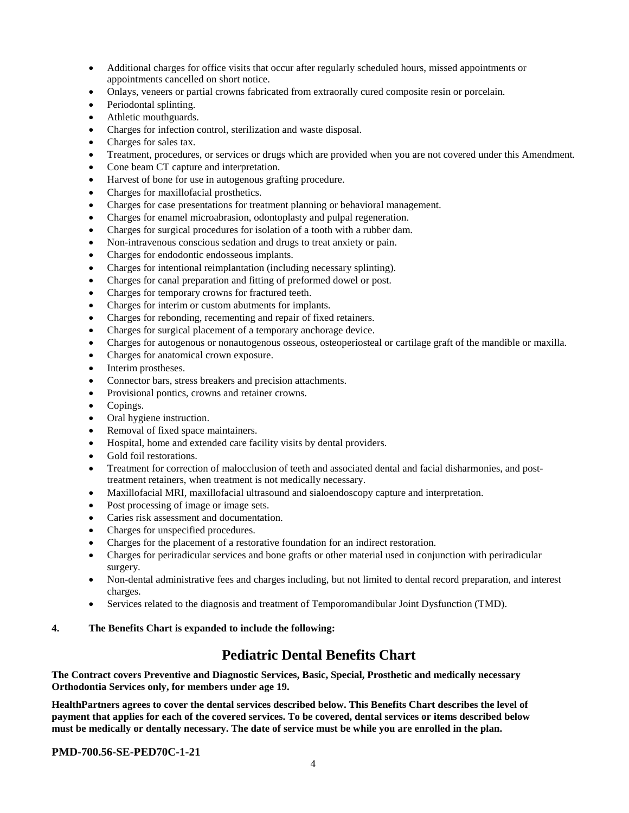- Additional charges for office visits that occur after regularly scheduled hours, missed appointments or appointments cancelled on short notice.
- Onlays, veneers or partial crowns fabricated from extraorally cured composite resin or porcelain.
- Periodontal splinting.
- Athletic mouthguards.
- Charges for infection control, sterilization and waste disposal.
- Charges for sales tax.
- Treatment, procedures, or services or drugs which are provided when you are not covered under this Amendment.
- Cone beam CT capture and interpretation.
- Harvest of bone for use in autogenous grafting procedure.
- Charges for maxillofacial prosthetics.
- Charges for case presentations for treatment planning or behavioral management.
- Charges for enamel microabrasion, odontoplasty and pulpal regeneration.
- Charges for surgical procedures for isolation of a tooth with a rubber dam.
- Non-intravenous conscious sedation and drugs to treat anxiety or pain.
- Charges for endodontic endosseous implants.
- Charges for intentional reimplantation (including necessary splinting).
- Charges for canal preparation and fitting of preformed dowel or post.
- Charges for temporary crowns for fractured teeth.
- Charges for interim or custom abutments for implants.
- Charges for rebonding, recementing and repair of fixed retainers.
- Charges for surgical placement of a temporary anchorage device.
- Charges for autogenous or nonautogenous osseous, osteoperiosteal or cartilage graft of the mandible or maxilla.
- Charges for anatomical crown exposure.
- Interim prostheses.
- Connector bars, stress breakers and precision attachments.
- Provisional pontics, crowns and retainer crowns.
- Copings.
- Oral hygiene instruction.
- Removal of fixed space maintainers.
- Hospital, home and extended care facility visits by dental providers.
- Gold foil restorations.
- Treatment for correction of malocclusion of teeth and associated dental and facial disharmonies, and posttreatment retainers, when treatment is not medically necessary.
- Maxillofacial MRI, maxillofacial ultrasound and sialoendoscopy capture and interpretation.
- Post processing of image or image sets.
- Caries risk assessment and documentation.
- Charges for unspecified procedures.
- Charges for the placement of a restorative foundation for an indirect restoration.
- Charges for periradicular services and bone grafts or other material used in conjunction with periradicular surgery.
- Non-dental administrative fees and charges including, but not limited to dental record preparation, and interest charges.
- Services related to the diagnosis and treatment of Temporomandibular Joint Dysfunction (TMD).

#### **4. The Benefits Chart is expanded to include the following:**

## **Pediatric Dental Benefits Chart**

**The Contract covers Preventive and Diagnostic Services, Basic, Special, Prosthetic and medically necessary Orthodontia Services only, for members under age 19.**

**HealthPartners agrees to cover the dental services described below. This Benefits Chart describes the level of payment that applies for each of the covered services. To be covered, dental services or items described below must be medically or dentally necessary. The date of service must be while you are enrolled in the plan.**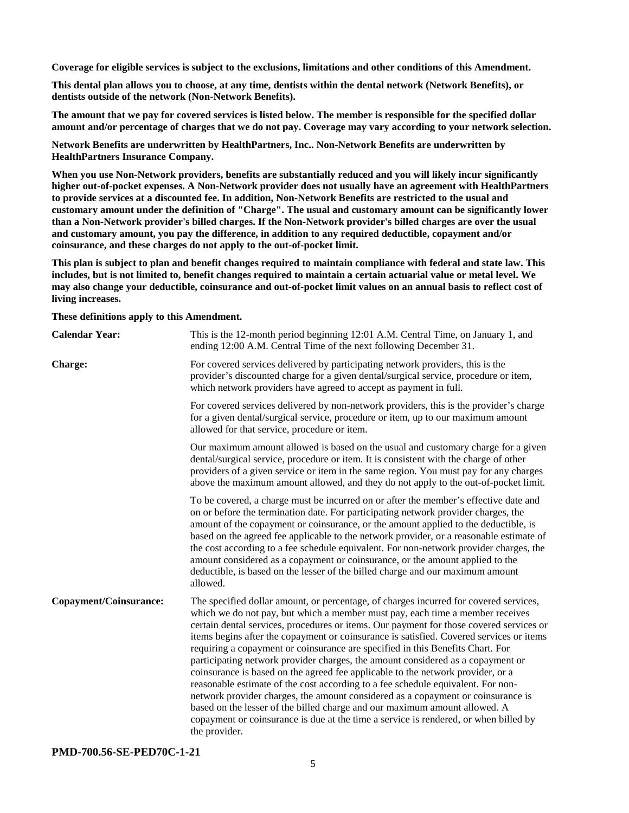**Coverage for eligible services is subject to the exclusions, limitations and other conditions of this Amendment.**

**This dental plan allows you to choose, at any time, dentists within the dental network (Network Benefits), or dentists outside of the network (Non-Network Benefits).**

**The amount that we pay for covered services is listed below. The member is responsible for the specified dollar amount and/or percentage of charges that we do not pay. Coverage may vary according to your network selection.**

**Network Benefits are underwritten by HealthPartners, Inc.. Non-Network Benefits are underwritten by HealthPartners Insurance Company.**

**When you use Non-Network providers, benefits are substantially reduced and you will likely incur significantly higher out-of-pocket expenses. A Non-Network provider does not usually have an agreement with HealthPartners to provide services at a discounted fee. In addition, Non-Network Benefits are restricted to the usual and customary amount under the definition of "Charge". The usual and customary amount can be significantly lower than a Non-Network provider's billed charges. If the Non-Network provider's billed charges are over the usual and customary amount, you pay the difference, in addition to any required deductible, copayment and/or coinsurance, and these charges do not apply to the out-of-pocket limit.**

**This plan is subject to plan and benefit changes required to maintain compliance with federal and state law. This includes, but is not limited to, benefit changes required to maintain a certain actuarial value or metal level. We may also change your deductible, coinsurance and out-of-pocket limit values on an annual basis to reflect cost of living increases.**

**These definitions apply to this Amendment.**

| <b>Calendar Year:</b>  | This is the 12-month period beginning 12:01 A.M. Central Time, on January 1, and<br>ending 12:00 A.M. Central Time of the next following December 31.                                                                                                                                                                                                                                                                                                                                                                                                                                                                                                                                                                                                                                                                                                                                                                                                                               |
|------------------------|-------------------------------------------------------------------------------------------------------------------------------------------------------------------------------------------------------------------------------------------------------------------------------------------------------------------------------------------------------------------------------------------------------------------------------------------------------------------------------------------------------------------------------------------------------------------------------------------------------------------------------------------------------------------------------------------------------------------------------------------------------------------------------------------------------------------------------------------------------------------------------------------------------------------------------------------------------------------------------------|
| Charge:                | For covered services delivered by participating network providers, this is the<br>provider's discounted charge for a given dental/surgical service, procedure or item,<br>which network providers have agreed to accept as payment in full.                                                                                                                                                                                                                                                                                                                                                                                                                                                                                                                                                                                                                                                                                                                                         |
|                        | For covered services delivered by non-network providers, this is the provider's charge<br>for a given dental/surgical service, procedure or item, up to our maximum amount<br>allowed for that service, procedure or item.                                                                                                                                                                                                                                                                                                                                                                                                                                                                                                                                                                                                                                                                                                                                                          |
|                        | Our maximum amount allowed is based on the usual and customary charge for a given<br>dental/surgical service, procedure or item. It is consistent with the charge of other<br>providers of a given service or item in the same region. You must pay for any charges<br>above the maximum amount allowed, and they do not apply to the out-of-pocket limit.                                                                                                                                                                                                                                                                                                                                                                                                                                                                                                                                                                                                                          |
|                        | To be covered, a charge must be incurred on or after the member's effective date and<br>on or before the termination date. For participating network provider charges, the<br>amount of the copayment or coinsurance, or the amount applied to the deductible, is<br>based on the agreed fee applicable to the network provider, or a reasonable estimate of<br>the cost according to a fee schedule equivalent. For non-network provider charges, the<br>amount considered as a copayment or coinsurance, or the amount applied to the<br>deductible, is based on the lesser of the billed charge and our maximum amount<br>allowed.                                                                                                                                                                                                                                                                                                                                               |
| Copayment/Coinsurance: | The specified dollar amount, or percentage, of charges incurred for covered services,<br>which we do not pay, but which a member must pay, each time a member receives<br>certain dental services, procedures or items. Our payment for those covered services or<br>items begins after the copayment or coinsurance is satisfied. Covered services or items<br>requiring a copayment or coinsurance are specified in this Benefits Chart. For<br>participating network provider charges, the amount considered as a copayment or<br>coinsurance is based on the agreed fee applicable to the network provider, or a<br>reasonable estimate of the cost according to a fee schedule equivalent. For non-<br>network provider charges, the amount considered as a copayment or coinsurance is<br>based on the lesser of the billed charge and our maximum amount allowed. A<br>copayment or coinsurance is due at the time a service is rendered, or when billed by<br>the provider. |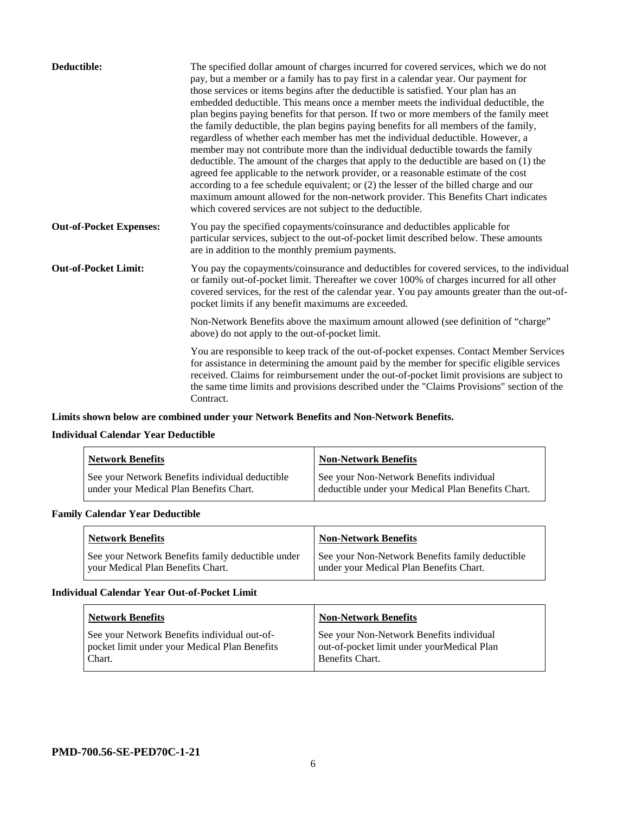| Deductible:                    | The specified dollar amount of charges incurred for covered services, which we do not<br>pay, but a member or a family has to pay first in a calendar year. Our payment for<br>those services or items begins after the deductible is satisfied. Your plan has an<br>embedded deductible. This means once a member meets the individual deductible, the<br>plan begins paying benefits for that person. If two or more members of the family meet<br>the family deductible, the plan begins paying benefits for all members of the family,<br>regardless of whether each member has met the individual deductible. However, a<br>member may not contribute more than the individual deductible towards the family<br>deductible. The amount of the charges that apply to the deductible are based on (1) the<br>agreed fee applicable to the network provider, or a reasonable estimate of the cost<br>according to a fee schedule equivalent; or (2) the lesser of the billed charge and our<br>maximum amount allowed for the non-network provider. This Benefits Chart indicates<br>which covered services are not subject to the deductible. |
|--------------------------------|--------------------------------------------------------------------------------------------------------------------------------------------------------------------------------------------------------------------------------------------------------------------------------------------------------------------------------------------------------------------------------------------------------------------------------------------------------------------------------------------------------------------------------------------------------------------------------------------------------------------------------------------------------------------------------------------------------------------------------------------------------------------------------------------------------------------------------------------------------------------------------------------------------------------------------------------------------------------------------------------------------------------------------------------------------------------------------------------------------------------------------------------------|
| <b>Out-of-Pocket Expenses:</b> | You pay the specified copayments/coinsurance and deductibles applicable for<br>particular services, subject to the out-of-pocket limit described below. These amounts<br>are in addition to the monthly premium payments.                                                                                                                                                                                                                                                                                                                                                                                                                                                                                                                                                                                                                                                                                                                                                                                                                                                                                                                        |
| <b>Out-of-Pocket Limit:</b>    | You pay the copayments/coinsurance and deductibles for covered services, to the individual<br>or family out-of-pocket limit. Thereafter we cover 100% of charges incurred for all other<br>covered services, for the rest of the calendar year. You pay amounts greater than the out-of-<br>pocket limits if any benefit maximums are exceeded.                                                                                                                                                                                                                                                                                                                                                                                                                                                                                                                                                                                                                                                                                                                                                                                                  |
|                                | Non-Network Benefits above the maximum amount allowed (see definition of "charge"<br>above) do not apply to the out-of-pocket limit.                                                                                                                                                                                                                                                                                                                                                                                                                                                                                                                                                                                                                                                                                                                                                                                                                                                                                                                                                                                                             |
|                                | You are responsible to keep track of the out-of-pocket expenses. Contact Member Services<br>for assistance in determining the amount paid by the member for specific eligible services<br>received. Claims for reimbursement under the out-of-pocket limit provisions are subject to<br>the same time limits and provisions described under the "Claims Provisions" section of the<br>Contract.                                                                                                                                                                                                                                                                                                                                                                                                                                                                                                                                                                                                                                                                                                                                                  |

## **Limits shown below are combined under your Network Benefits and Non-Network Benefits.**

## **Individual Calendar Year Deductible**

| <b>Network Benefits</b>                                                                    | <b>Non-Network Benefits</b>                                                                    |
|--------------------------------------------------------------------------------------------|------------------------------------------------------------------------------------------------|
| See your Network Benefits individual deductible<br>under your Medical Plan Benefits Chart. | See your Non-Network Benefits individual<br>deductible under your Medical Plan Benefits Chart. |

## **Family Calendar Year Deductible**

| <b>Network Benefits</b>                           | <b>Non-Network Benefits</b>                     |
|---------------------------------------------------|-------------------------------------------------|
| See your Network Benefits family deductible under | See your Non-Network Benefits family deductible |
| vour Medical Plan Benefits Chart.                 | under your Medical Plan Benefits Chart.         |

### **Individual Calendar Year Out-of-Pocket Limit**

| <b>Network Benefits</b>                                                                                 | <b>Non-Network Benefits</b>                                                                               |
|---------------------------------------------------------------------------------------------------------|-----------------------------------------------------------------------------------------------------------|
| See your Network Benefits individual out-of-<br>pocket limit under your Medical Plan Benefits<br>Chart. | See your Non-Network Benefits individual<br>out-of-pocket limit under yourMedical Plan<br>Benefits Chart. |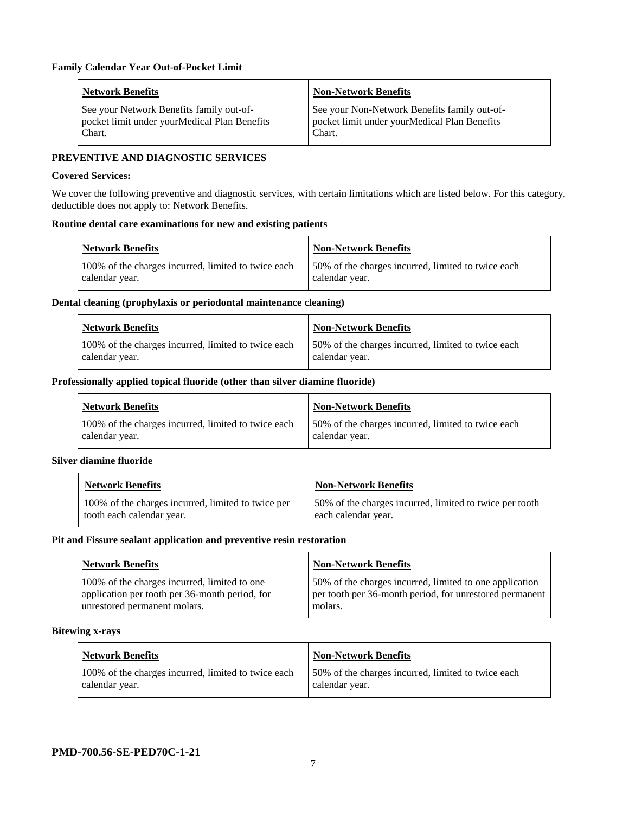| <b>Network Benefits</b>                       | <b>Non-Network Benefits</b>                  |
|-----------------------------------------------|----------------------------------------------|
| See your Network Benefits family out-of-      | See your Non-Network Benefits family out-of- |
| pocket limit under your Medical Plan Benefits | pocket limit under yourMedical Plan Benefits |
| Chart.                                        | Chart.                                       |

## **PREVENTIVE AND DIAGNOSTIC SERVICES**

#### **Covered Services:**

We cover the following preventive and diagnostic services, with certain limitations which are listed below. For this category, deductible does not apply to: Network Benefits.

#### **Routine dental care examinations for new and existing patients**

| <b>Network Benefits</b>                                               | <b>Non-Network Benefits</b>                                          |
|-----------------------------------------------------------------------|----------------------------------------------------------------------|
| 100% of the charges incurred, limited to twice each<br>calendar year. | 50% of the charges incurred, limited to twice each<br>calendar year. |

#### **Dental cleaning (prophylaxis or periodontal maintenance cleaning)**

| <b>Network Benefits</b>                                               | <b>Non-Network Benefits</b>                                           |
|-----------------------------------------------------------------------|-----------------------------------------------------------------------|
| 100% of the charges incurred, limited to twice each<br>calendar year. | 150% of the charges incurred, limited to twice each<br>calendar year. |

#### **Professionally applied topical fluoride (other than silver diamine fluoride)**

| Network Benefits                                                      | <b>Non-Network Benefits</b>                                           |
|-----------------------------------------------------------------------|-----------------------------------------------------------------------|
| 100% of the charges incurred, limited to twice each<br>calendar year. | 150% of the charges incurred, limited to twice each<br>calendar year. |

#### **Silver diamine fluoride**

| <b>Network Benefits</b>                            | <b>Non-Network Benefits</b>                             |
|----------------------------------------------------|---------------------------------------------------------|
| 100% of the charges incurred, limited to twice per | 50% of the charges incurred, limited to twice per tooth |
| tooth each calendar year.                          | each calendar year.                                     |

#### **Pit and Fissure sealant application and preventive resin restoration**

| <b>Network Benefits</b>                                                                                                        | <b>Non-Network Benefits</b>                                                                                                   |
|--------------------------------------------------------------------------------------------------------------------------------|-------------------------------------------------------------------------------------------------------------------------------|
| 100% of the charges incurred, limited to one<br>application per tooth per 36-month period, for<br>unrestored permanent molars. | 50% of the charges incurred, limited to one application<br>per tooth per 36-month period, for unrestored permanent<br>molars. |

#### **Bitewing x-rays**

| <b>Network Benefits</b>                             | Non-Network Benefits                               |
|-----------------------------------------------------|----------------------------------------------------|
| 100% of the charges incurred, limited to twice each | 50% of the charges incurred, limited to twice each |
| calendar year.                                      | calendar year.                                     |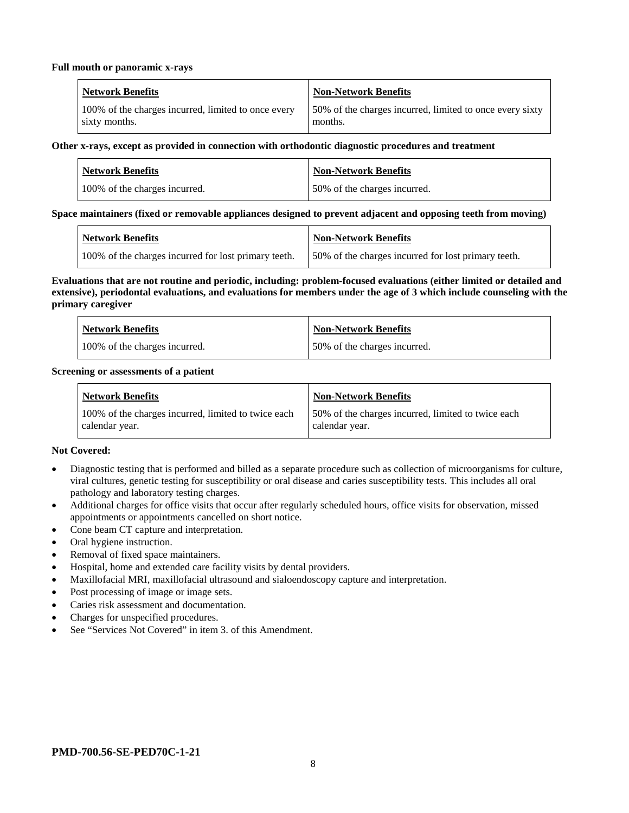#### **Full mouth or panoramic x-rays**

| <b>Network Benefits</b>                             | Non-Network Benefits                                     |
|-----------------------------------------------------|----------------------------------------------------------|
| 100% of the charges incurred, limited to once every | 50% of the charges incurred, limited to once every sixty |
| sixty months.                                       | months.                                                  |

#### **Other x-rays, except as provided in connection with orthodontic diagnostic procedures and treatment**

| <b>Network Benefits</b>       | <b>Non-Network Benefits</b>  |
|-------------------------------|------------------------------|
| 100% of the charges incurred. | 50% of the charges incurred. |

#### **Space maintainers (fixed or removable appliances designed to prevent adjacent and opposing teeth from moving)**

| Network Benefits                                     | <b>Non-Network Benefits</b>                          |
|------------------------------------------------------|------------------------------------------------------|
| 100% of the charges incurred for lost primary teeth. | 150% of the charges incurred for lost primary teeth. |

#### **Evaluations that are not routine and periodic, including: problem-focused evaluations (either limited or detailed and extensive), periodontal evaluations, and evaluations for members under the age of 3 which include counseling with the primary caregiver**

| <b>Network Benefits</b>       | <b>Non-Network Benefits</b>  |
|-------------------------------|------------------------------|
| 100% of the charges incurred. | 50% of the charges incurred. |

#### **Screening or assessments of a patient**

| <b>Network Benefits</b>                                               | <b>Non-Network Benefits</b>                                          |
|-----------------------------------------------------------------------|----------------------------------------------------------------------|
| 100% of the charges incurred, limited to twice each<br>calendar year. | 50% of the charges incurred, limited to twice each<br>calendar year. |

#### **Not Covered:**

- Diagnostic testing that is performed and billed as a separate procedure such as collection of microorganisms for culture, viral cultures, genetic testing for susceptibility or oral disease and caries susceptibility tests. This includes all oral pathology and laboratory testing charges.
- Additional charges for office visits that occur after regularly scheduled hours, office visits for observation, missed appointments or appointments cancelled on short notice.
- Cone beam CT capture and interpretation.
- Oral hygiene instruction.
- Removal of fixed space maintainers.
- Hospital, home and extended care facility visits by dental providers.
- Maxillofacial MRI, maxillofacial ultrasound and sialoendoscopy capture and interpretation.
- Post processing of image or image sets.
- Caries risk assessment and documentation.
- Charges for unspecified procedures.
- See "Services Not Covered" in item 3. of this Amendment.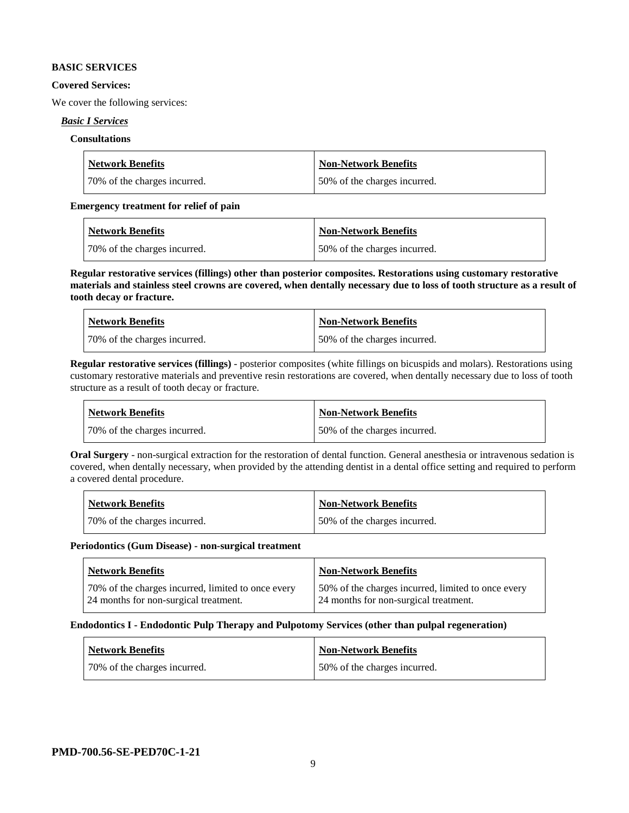#### **BASIC SERVICES**

#### **Covered Services:**

We cover the following services:

#### *Basic I Services*

## **Consultations**

| <b>Network Benefits</b>      | Non-Network Benefits          |
|------------------------------|-------------------------------|
| 70% of the charges incurred. | 150% of the charges incurred. |

#### **Emergency treatment for relief of pain**

| <b>Network Benefits</b>      | <b>Non-Network Benefits</b>  |
|------------------------------|------------------------------|
| 70% of the charges incurred. | 50% of the charges incurred. |

**Regular restorative services (fillings) other than posterior composites. Restorations using customary restorative materials and stainless steel crowns are covered, when dentally necessary due to loss of tooth structure as a result of tooth decay or fracture.**

| <b>Network Benefits</b>       | <b>Non-Network Benefits</b>  |
|-------------------------------|------------------------------|
| 170% of the charges incurred. | 50% of the charges incurred. |

**Regular restorative services (fillings)** - posterior composites (white fillings on bicuspids and molars). Restorations using customary restorative materials and preventive resin restorations are covered, when dentally necessary due to loss of tooth structure as a result of tooth decay or fracture.

| Network Benefits             | Non-Network Benefits         |
|------------------------------|------------------------------|
| 70% of the charges incurred. | 50% of the charges incurred. |

**Oral Surgery** - non-surgical extraction for the restoration of dental function. General anesthesia or intravenous sedation is covered, when dentally necessary, when provided by the attending dentist in a dental office setting and required to perform a covered dental procedure.

| Network Benefits             | <b>Non-Network Benefits</b>  |
|------------------------------|------------------------------|
| 70% of the charges incurred. | 50% of the charges incurred. |

#### **Periodontics (Gum Disease) - non-surgical treatment**

| <b>Network Benefits</b>                            | <b>Non-Network Benefits</b>                        |
|----------------------------------------------------|----------------------------------------------------|
| 70% of the charges incurred, limited to once every | 50% of the charges incurred, limited to once every |
| 24 months for non-surgical treatment.              | 24 months for non-surgical treatment.              |

#### **Endodontics I - Endodontic Pulp Therapy and Pulpotomy Services (other than pulpal regeneration)**

| Network Benefits             | Non-Network Benefits         |
|------------------------------|------------------------------|
| 70% of the charges incurred. | 50% of the charges incurred. |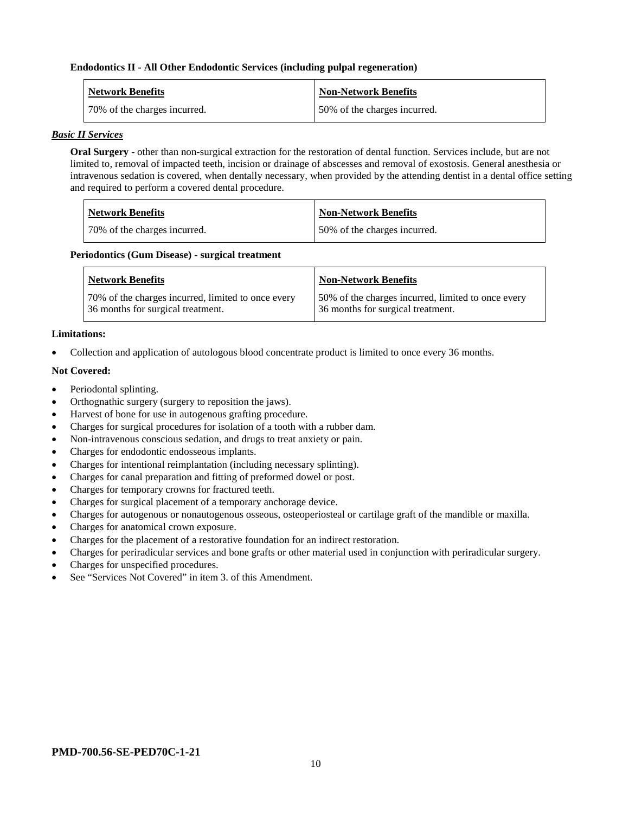#### **Endodontics II - All Other Endodontic Services (including pulpal regeneration)**

| <b>Network Benefits</b>       | <b>Non-Network Benefits</b>  |
|-------------------------------|------------------------------|
| 170% of the charges incurred. | 50% of the charges incurred. |

#### *Basic II Services*

**Oral Surgery** - other than non-surgical extraction for the restoration of dental function. Services include, but are not limited to, removal of impacted teeth, incision or drainage of abscesses and removal of exostosis. General anesthesia or intravenous sedation is covered, when dentally necessary, when provided by the attending dentist in a dental office setting and required to perform a covered dental procedure.

| Network Benefits             | <b>Non-Network Benefits</b>  |
|------------------------------|------------------------------|
| 70% of the charges incurred. | 50% of the charges incurred. |

#### **Periodontics (Gum Disease) - surgical treatment**

| <b>Network Benefits</b>                            | <b>Non-Network Benefits</b>                        |
|----------------------------------------------------|----------------------------------------------------|
| 70% of the charges incurred, limited to once every | 50% of the charges incurred, limited to once every |
| 36 months for surgical treatment.                  | 36 months for surgical treatment.                  |

#### **Limitations:**

• Collection and application of autologous blood concentrate product is limited to once every 36 months.

#### **Not Covered:**

- Periodontal splinting.
- Orthognathic surgery (surgery to reposition the jaws).
- Harvest of bone for use in autogenous grafting procedure.
- Charges for surgical procedures for isolation of a tooth with a rubber dam.
- Non-intravenous conscious sedation, and drugs to treat anxiety or pain.
- Charges for endodontic endosseous implants.
- Charges for intentional reimplantation (including necessary splinting).
- Charges for canal preparation and fitting of preformed dowel or post.
- Charges for temporary crowns for fractured teeth.
- Charges for surgical placement of a temporary anchorage device.
- Charges for autogenous or nonautogenous osseous, osteoperiosteal or cartilage graft of the mandible or maxilla.
- Charges for anatomical crown exposure.
- Charges for the placement of a restorative foundation for an indirect restoration.
- Charges for periradicular services and bone grafts or other material used in conjunction with periradicular surgery.
- Charges for unspecified procedures.
- See "Services Not Covered" in item 3, of this Amendment.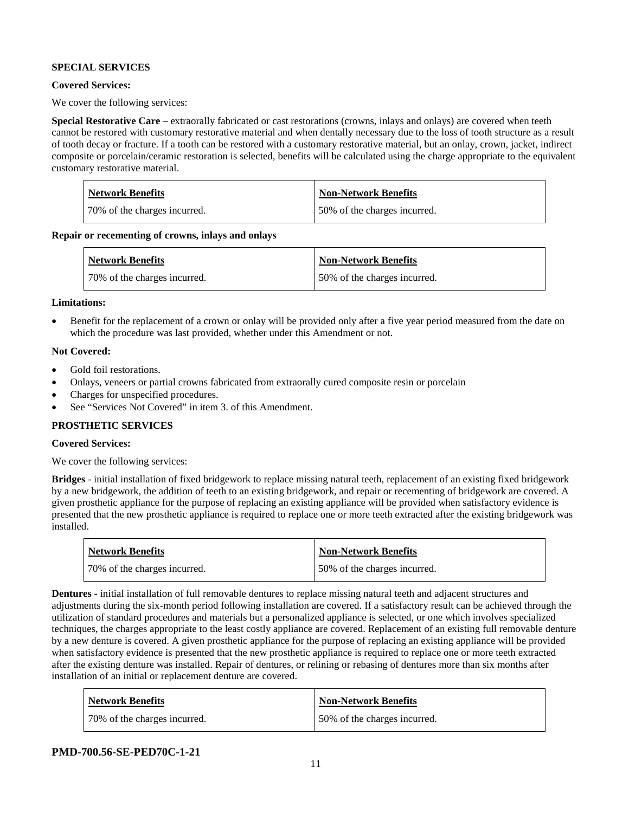## **SPECIAL SERVICES**

## **Covered Services:**

We cover the following services:

**Special Restorative Care** – extraorally fabricated or cast restorations (crowns, inlays and onlays) are covered when teeth cannot be restored with customary restorative material and when dentally necessary due to the loss of tooth structure as a result of tooth decay or fracture. If a tooth can be restored with a customary restorative material, but an onlay, crown, jacket, indirect composite or porcelain/ceramic restoration is selected, benefits will be calculated using the charge appropriate to the equivalent customary restorative material.

| Network Benefits             | <b>Non-Network Benefits</b>  |
|------------------------------|------------------------------|
| 70% of the charges incurred. | 50% of the charges incurred. |

**Repair or recementing of crowns, inlays and onlays**

| <b>Network Benefits</b>      | <b>Non-Network Benefits</b>  |
|------------------------------|------------------------------|
| 70% of the charges incurred. | 50% of the charges incurred. |

#### **Limitations:**

• Benefit for the replacement of a crown or onlay will be provided only after a five year period measured from the date on which the procedure was last provided, whether under this Amendment or not.

#### **Not Covered:**

- Gold foil restorations.
- Onlays, veneers or partial crowns fabricated from extraorally cured composite resin or porcelain
- Charges for unspecified procedures.
- See "Services Not Covered" in item 3. of this Amendment.

#### **PROSTHETIC SERVICES**

## **Covered Services:**

We cover the following services:

**Bridges** - initial installation of fixed bridgework to replace missing natural teeth, replacement of an existing fixed bridgework by a new bridgework, the addition of teeth to an existing bridgework, and repair or recementing of bridgework are covered. A given prosthetic appliance for the purpose of replacing an existing appliance will be provided when satisfactory evidence is presented that the new prosthetic appliance is required to replace one or more teeth extracted after the existing bridgework was installed.

| <b>Network Benefits</b>      | <b>Non-Network Benefits</b>  |
|------------------------------|------------------------------|
| 70% of the charges incurred. | 50% of the charges incurred. |

**Dentures -** initial installation of full removable dentures to replace missing natural teeth and adjacent structures and adjustments during the six-month period following installation are covered. If a satisfactory result can be achieved through the utilization of standard procedures and materials but a personalized appliance is selected, or one which involves specialized techniques, the charges appropriate to the least costly appliance are covered. Replacement of an existing full removable denture by a new denture is covered. A given prosthetic appliance for the purpose of replacing an existing appliance will be provided when satisfactory evidence is presented that the new prosthetic appliance is required to replace one or more teeth extracted after the existing denture was installed. Repair of dentures, or relining or rebasing of dentures more than six months after installation of an initial or replacement denture are covered.

| <b>Network Benefits</b>      | <b>Non-Network Benefits</b>  |
|------------------------------|------------------------------|
| 70% of the charges incurred. | 50% of the charges incurred. |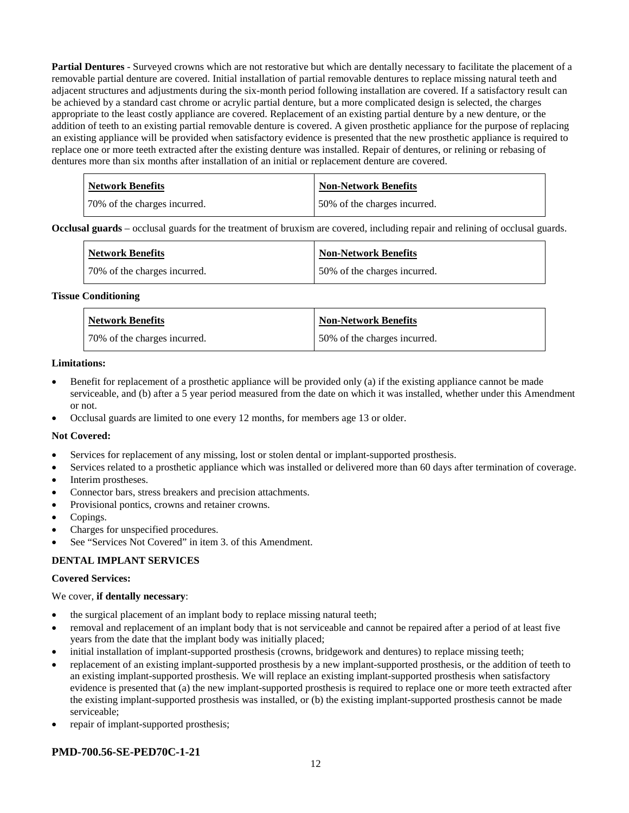**Partial Dentures** - Surveyed crowns which are not restorative but which are dentally necessary to facilitate the placement of a removable partial denture are covered. Initial installation of partial removable dentures to replace missing natural teeth and adjacent structures and adjustments during the six-month period following installation are covered. If a satisfactory result can be achieved by a standard cast chrome or acrylic partial denture, but a more complicated design is selected, the charges appropriate to the least costly appliance are covered. Replacement of an existing partial denture by a new denture, or the addition of teeth to an existing partial removable denture is covered. A given prosthetic appliance for the purpose of replacing an existing appliance will be provided when satisfactory evidence is presented that the new prosthetic appliance is required to replace one or more teeth extracted after the existing denture was installed. Repair of dentures, or relining or rebasing of dentures more than six months after installation of an initial or replacement denture are covered.

| <b>Network Benefits</b>      | Non-Network Benefits         |
|------------------------------|------------------------------|
| 70% of the charges incurred. | 50% of the charges incurred. |

**Occlusal guards** – occlusal guards for the treatment of bruxism are covered, including repair and relining of occlusal guards.

| <b>Network Benefits</b>      | <b>Non-Network Benefits</b>  |
|------------------------------|------------------------------|
| 70% of the charges incurred. | 50% of the charges incurred. |

#### **Tissue Conditioning**

| <b>Network Benefits</b>      | Non-Network Benefits         |
|------------------------------|------------------------------|
| 70% of the charges incurred. | 50% of the charges incurred. |

#### **Limitations:**

- Benefit for replacement of a prosthetic appliance will be provided only (a) if the existing appliance cannot be made serviceable, and (b) after a 5 year period measured from the date on which it was installed, whether under this Amendment or not.
- Occlusal guards are limited to one every 12 months, for members age 13 or older.

#### **Not Covered:**

- Services for replacement of any missing, lost or stolen dental or implant-supported prosthesis.
- Services related to a prosthetic appliance which was installed or delivered more than 60 days after termination of coverage.
- Interim prostheses.
- Connector bars, stress breakers and precision attachments.
- Provisional pontics, crowns and retainer crowns.
- Copings.
- Charges for unspecified procedures.
- See "Services Not Covered" in item 3. of this Amendment.

#### **DENTAL IMPLANT SERVICES**

#### **Covered Services:**

#### We cover, **if dentally necessary**:

- the surgical placement of an implant body to replace missing natural teeth;
- removal and replacement of an implant body that is not serviceable and cannot be repaired after a period of at least five years from the date that the implant body was initially placed;
- initial installation of implant-supported prosthesis (crowns, bridgework and dentures) to replace missing teeth;
- replacement of an existing implant-supported prosthesis by a new implant-supported prosthesis, or the addition of teeth to an existing implant-supported prosthesis. We will replace an existing implant-supported prosthesis when satisfactory evidence is presented that (a) the new implant-supported prosthesis is required to replace one or more teeth extracted after the existing implant-supported prosthesis was installed, or (b) the existing implant-supported prosthesis cannot be made serviceable;
- repair of implant-supported prosthesis;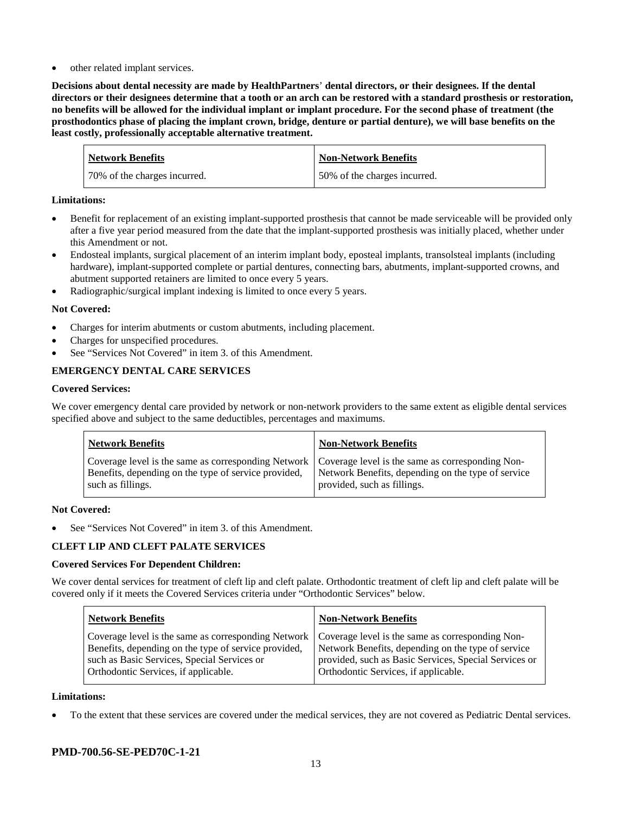other related implant services.

**Decisions about dental necessity are made by HealthPartners**' **dental directors, or their designees. If the dental directors or their designees determine that a tooth or an arch can be restored with a standard prosthesis or restoration, no benefits will be allowed for the individual implant or implant procedure. For the second phase of treatment (the prosthodontics phase of placing the implant crown, bridge, denture or partial denture), we will base benefits on the least costly, professionally acceptable alternative treatment.**

| <b>Network Benefits</b>      | <b>Non-Network Benefits</b>  |
|------------------------------|------------------------------|
| 70% of the charges incurred. | 50% of the charges incurred. |

## **Limitations:**

- Benefit for replacement of an existing implant-supported prosthesis that cannot be made serviceable will be provided only after a five year period measured from the date that the implant-supported prosthesis was initially placed, whether under this Amendment or not.
- Endosteal implants, surgical placement of an interim implant body, eposteal implants, transolsteal implants (including hardware), implant-supported complete or partial dentures, connecting bars, abutments, implant-supported crowns, and abutment supported retainers are limited to once every 5 years.
- Radiographic/surgical implant indexing is limited to once every 5 years.

## **Not Covered:**

- Charges for interim abutments or custom abutments, including placement.
- Charges for unspecified procedures.
- See "Services Not Covered" in item 3. of this Amendment.

## **EMERGENCY DENTAL CARE SERVICES**

#### **Covered Services:**

We cover emergency dental care provided by network or non-network providers to the same extent as eligible dental services specified above and subject to the same deductibles, percentages and maximums.

| <b>Network Benefits</b>                                                                                                                                                             | <b>Non-Network Benefits</b>                                                       |
|-------------------------------------------------------------------------------------------------------------------------------------------------------------------------------------|-----------------------------------------------------------------------------------|
| Coverage level is the same as corresponding Network   Coverage level is the same as corresponding Non-<br>Benefits, depending on the type of service provided,<br>such as fillings. | Network Benefits, depending on the type of service<br>provided, such as fillings. |

#### **Not Covered:**

See "Services Not Covered" in item 3. of this Amendment.

#### **CLEFT LIP AND CLEFT PALATE SERVICES**

#### **Covered Services For Dependent Children:**

We cover dental services for treatment of cleft lip and cleft palate. Orthodontic treatment of cleft lip and cleft palate will be covered only if it meets the Covered Services criteria under "Orthodontic Services" below.

| <b>Network Benefits</b>                              | <b>Non-Network Benefits</b>                           |
|------------------------------------------------------|-------------------------------------------------------|
| Coverage level is the same as corresponding Network  | Coverage level is the same as corresponding Non-      |
| Benefits, depending on the type of service provided, | Network Benefits, depending on the type of service    |
| such as Basic Services, Special Services or          | provided, such as Basic Services, Special Services or |
| Orthodontic Services, if applicable.                 | Orthodontic Services, if applicable.                  |

#### **Limitations:**

• To the extent that these services are covered under the medical services, they are not covered as Pediatric Dental services.